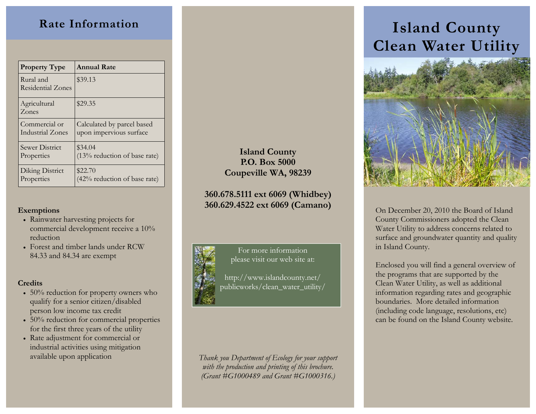# **Rate Information**

| <b>Property Type</b>                  | <b>Annual Rate</b>             |
|---------------------------------------|--------------------------------|
| Rural and<br><b>Residential Zones</b> | \$39.13                        |
| Agricultural<br>Zones                 | \$29.35                        |
| Commercial or                         | Calculated by parcel based     |
| Industrial Zones                      | upon impervious surface        |
| Sewer District                        | \$34.04                        |
| Properties                            | $(13%$ reduction of base rate) |
| Diking District                       | \$22.70                        |
| Properties                            | (42% reduction of base rate)   |

### **Exemptions**

- Rainwater harvesting projects for commercial development receive a 10% reduction
- Forest and timber lands under RCW 84.33 and 84.34 are exempt

#### **Credits**

- 50% reduction for property owners who qualify for a senior citizen/disabled person low income tax credit
- 50% reduction for commercial properties for the first three years of the utility
- Rate adjustment for commercial or industrial activities using mitigation available upon application

## **Island County P.O. Box 5000 Coupeville WA, 98239**

## **360.678.5111 ext 6069 (Whidbey) 360.629.4522 ext 6069 (Camano)**



For more information please visit our web site at:

http://www.islandcounty.net/ publicworks/clean\_water\_utility/

*Thank you Department of Ecology for your support with the production and printing of this brochure. (Grant #G1000489 and Grant #G1000316.)* 

# **Island County Clean Water Utility**



On December 20, 2010 the Board of Island County Commissioners adopted the Clean Water Utility to address concerns related to surface and groundwater quantity and quality in Island County.

Enclosed you will find a general overview of the programs that are supported by the Clean Water Utility, as well as additional information regarding rates and geographic boundaries. More detailed information (including code language, resolutions, etc) can be found on the Island County website.